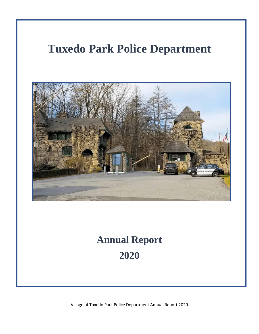# **Tuxedo Park Police Department**



# **Annual Report 2020**

Village of Tuxedo Park Police Department Annual Report 2020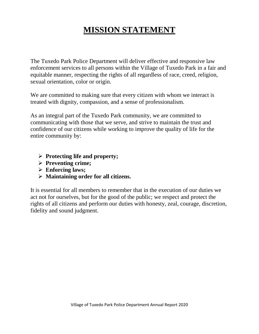# **MISSION STATEMENT**

The Tuxedo Park Police Department will deliver effective and responsive law enforcement services to all persons within the Village of Tuxedo Park in a fair and equitable manner, respecting the rights of all regardless of race, creed, religion, sexual orientation, color or origin.

We are committed to making sure that every citizen with whom we interact is treated with dignity, compassion, and a sense of professionalism.

As an integral part of the Tuxedo Park community, we are committed to communicating with those that we serve, and strive to maintain the trust and confidence of our citizens while working to improve the quality of life for the entire community by:

- ➢ **Protecting life and property;**
- ➢ **Preventing crime;**
- ➢ **Enforcing laws;**
- ➢ **Maintaining order for all citizens.**

It is essential for all members to remember that in the execution of our duties we act not for ourselves, but for the good of the public; we respect and protect the rights of all citizens and perform our duties with honesty, zeal, courage, discretion, fidelity and sound judgment.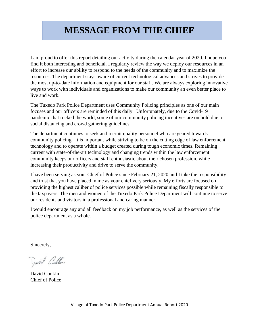# **MESSAGE FROM THE CHIEF**

I am proud to offer this report detailing our activity during the calendar year of 2020. I hope you find it both interesting and beneficial. I regularly review the way we deploy our resources in an effort to increase our ability to respond to the needs of the community and to maximize the resources. The department stays aware of current technological advances and strives to provide the most up-to-date information and equipment for our staff. We are always exploring innovative ways to work with individuals and organizations to make our community an even better place to live and work.

The Tuxedo Park Police Department uses Community Policing principles as one of our main focuses and our officers are reminded of this daily. Unfortunately, due to the Covid-19 pandemic that rocked the world, some of our community policing incentives are on hold due to social distancing and crowd gathering guidelines.

The department continues to seek and recruit quality personnel who are geared towards community policing. It is important while striving to be on the cutting edge of law enforcement technology and to operate within a budget created during tough economic times. Remaining current with state-of-the-art technology and changing trends within the law enforcement community keeps our officers and staff enthusiastic about their chosen profession, while increasing their productivity and drive to serve the community.

I have been serving as your Chief of Police since February 21, 2020 and I take the responsibility and trust that you have placed in me as your chief very seriously. My efforts are focused on providing the highest caliber of police services possible while remaining fiscally responsible to the taxpayers. The men and women of the Tuxedo Park Police Department will continue to serve our residents and visitors in a professional and caring manner.

I would encourage any and all feedback on my job performance, as well as the services of the police department as a whole.

Sincerely,

David Contin

David Conklin Chief of Police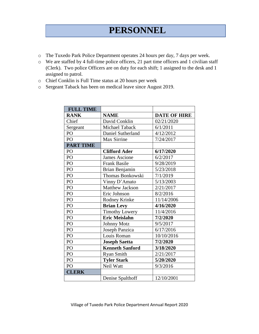# **PERSONNEL**

- o The Tuxedo Park Police Department operates 24 hours per day, 7 days per week.
- o We are staffed by 4 full-time police officers, 21 part time officers and 1 civilian staff (Clerk). Two police Officers are on duty for each shift; 1 assigned to the desk and 1 assigned to patrol.
- o Chief Conklin is Full Time status at 20 hours per week
- o Sergeant Taback has been on medical leave since August 2019.

| <b>FULL TIME</b> |                        |                     |
|------------------|------------------------|---------------------|
| <b>RANK</b>      | <b>NAME</b>            | <b>DATE OF HIRE</b> |
| Chief            | David Conklin          | 02/21/2020          |
| Sergeant         | Michael Taback         | 6/1/2011            |
| PO               | Daniel Sutherland      | 4/12/2012           |
| PO               | Max Sirrine            | 7/24/2017           |
| <b>PART TIME</b> |                        |                     |
| PO               | <b>Clifford Ader</b>   | 6/17/2020           |
| PO               | <b>James Ascione</b>   | 6/2/2017            |
| PO               | <b>Frank Basile</b>    | 9/28/2019           |
| PO               | Brian Benjamin         | 5/23/2018           |
| PO               | Thomas Bonkowski       | 7/1/2019            |
| PO               | Vinny D'Amato          | 5/13/2003           |
| PO               | <b>Matthew Jackson</b> | 2/21/2017           |
| PO               | Eric Johnson           | 8/2/2016            |
| PO               | Rodney Krinke          | 11/14/2006          |
| PO               | <b>Brian Levy</b>      | 4/16/2020           |
| PO               | <b>Timothy Lowery</b>  | 11/4/2016           |
| PO               | <b>Eric Meislahn</b>   | 7/2/2020            |
| PO               | <b>Johnny Motz</b>     | 9/5/2017            |
| PO               | Joseph Panzica         | 6/17/2016           |
| PO               | Louis Roman            | 10/10/2016          |
| PO               | <b>Joseph Saetta</b>   | 7/2/2020            |
| PO               | <b>Kenneth Sanford</b> | 3/18/2020           |
| PO               | <b>Ryan Smith</b>      | 2/21/2017           |
| PO               | <b>Tyler Stark</b>     | 5/20/2020           |
| PO               | Neil Watt              | 9/3/2016            |
| <b>CLERK</b>     |                        |                     |
|                  | Denise Spalthoff       | 12/10/2001          |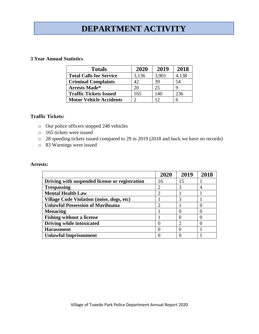# **DEPARTMENT ACTIVITY**

#### **3 Year Annual Statistics**

| <b>Totals</b>                  | 2020  | 2019  | 2018  |
|--------------------------------|-------|-------|-------|
| <b>Total Calls for Service</b> | 3,136 | 3,901 | 4,138 |
| <b>Criminal Complaints</b>     | 42.   | 39    | 54    |
| <b>Arrests Made*</b>           | 20    | 25    |       |
| <b>Traffic Tickets Issued</b>  | 165   | 140   | 236   |
| <b>Motor Vehicle Accidents</b> |       | 12    |       |

#### **Traffic Tickets:**

- o Our police officers stopped 248 vehicles
- o 165 tickets were issued
- o 28 speeding tickets issued compared to 29 in 2019 (2018 and back we have no records)
- o 83 Warnings were issued

#### **Arrests:**

|                                                  | 2020 | 2019 | 2018 |
|--------------------------------------------------|------|------|------|
| Driving with suspended license or registration   | 16   | 15   |      |
| <b>Trespassing</b>                               |      |      |      |
| <b>Mental Health Law</b>                         | っ    |      |      |
| <b>Village Code Violation (noise, dogs, etc)</b> |      |      |      |
| <b>Unlawful Possession of Marihuana</b>          | ∍    |      |      |
| <b>Menacing</b>                                  |      |      |      |
| <b>Fishing without a license</b>                 |      |      |      |
| Driving while intoxicated                        |      |      |      |
| <b>Harassment</b>                                |      |      |      |
| <b>Unlawful Imprisonment</b>                     |      |      |      |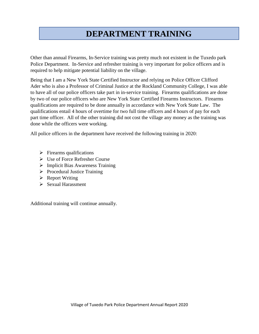# **DEPARTMENT TRAINING**

Other than annual Firearms, In-Service training was pretty much not existent in the Tuxedo park Police Department. In-Service and refresher training is very important for police officers and is required to help mitigate potential liability on the village.

Being that I am a New York State Certified Instructor and relying on Police Officer Clifford Ader who is also a Professor of Criminal Justice at the Rockland Community College, I was able to have all of our police officers take part in in-service training. Firearms qualifications are done by two of our police officers who are New York State Certified Firearms Instructors. Firearms qualifications are required to be done annually in accordance with New York State Law. The qualifications entail 4 hours of overtime for two full time officers and 4 hours of pay for each part time officer. All of the other training did not cost the village any money as the training was done while the officers were working.

All police officers in the department have received the following training in 2020:

- $\triangleright$  Firearms qualifications
- ➢ Use of Force Refresher Course
- ➢ Implicit Bias Awareness Training
- ➢ Procedural Justice Training
- ➢ Report Writing
- ➢ Sexual Harassment

Additional training will continue annually.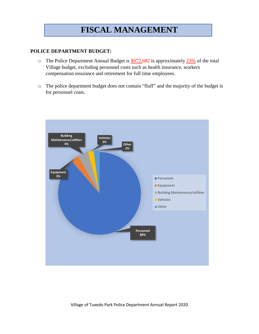## **FISCAL MANAGEMENT**

#### **POLICE DEPARTMENT BUDGET:**

- $\circ$  The Police Department Annual Budget is  $\frac{$972,682}{2}$  is approximately 23% of the total Village budget, excluding personnel costs such as health insurance, workers compensation insurance and retirement for full time employees.
- o The police department budget does not contain "fluff" and the majority of the budget is for personnel costs.

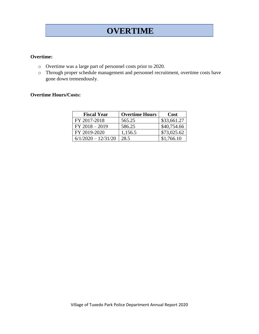### **OVERTIME**

#### **Overtime:**

- o Overtime was a large part of personnel costs prior to 2020.
- o Through proper schedule management and personnel recruitment, overtime costs have gone down tremendously.

#### **Overtime Hours/Costs:**

| <b>Fiscal Year</b>    | <b>Overtime Hours</b> | Cost        |
|-----------------------|-----------------------|-------------|
| FY 2017-2018          | 565.25                | \$33,661.27 |
| $FY 2018 - 2019$      | 586.25                | \$40,754.66 |
| FY 2019-2020          | 1,156.5               | \$73,025.62 |
| $6/1/2020 - 12/31/20$ | 28.5                  | \$1,766.10  |